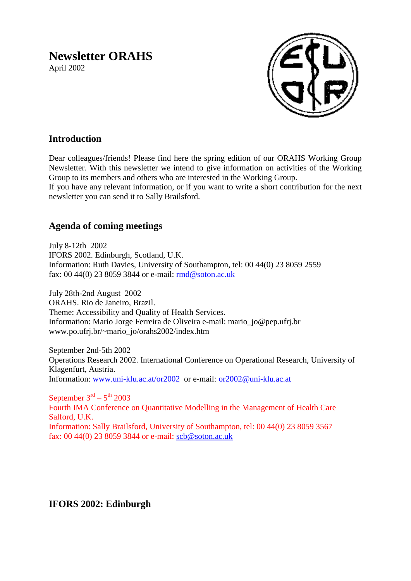# **Newsletter ORAHS**

April 2002



# **Introduction**

Dear colleagues/friends! Please find here the spring edition of our ORAHS Working Group Newsletter. With this newsletter we intend to give information on activities of the Working Group to its members and others who are interested in the Working Group.

If you have any relevant information, or if you want to write a short contribution for the next newsletter you can send it to Sally Brailsford.

## **Agenda of coming meetings**

July 8-12th 2002 IFORS 2002. Edinburgh, Scotland, U.K. Information: Ruth Davies, University of Southampton, tel: 00 44(0) 23 8059 2559 fax: 00 44(0) 23 8059 3844 or e-mail: [rmd@soton.ac.uk](mailto:rmd@soton.ac.uk)

July 28th-2nd August 2002 ORAHS. Rio de Janeiro, Brazil. Theme: Accessibility and Quality of Health Services. Information: Mario Jorge Ferreira de Oliveira e-mail: mario\_jo@pep.ufrj.br www.po.ufrj.br/~mario\_jo/orahs2002/index.htm

September 2nd-5th 2002 Operations Research 2002. International Conference on Operational Research, University of Klagenfurt, Austria. Information: [www.uni-klu.ac.at/or2002](http://www.uni-klu.ac.at/or2002) or e-mail: [or2002@uni-klu.ac.at](mailto:or2002@uni-klu.ac.at)

September  $3<sup>rd</sup> - 5<sup>th</sup>$  2003 Fourth IMA Conference on Quantitative Modelling in the Management of Health Care Salford, U.K. Information: Sally Brailsford, University of Southampton, tel: 00 44(0) 23 8059 3567 fax: 00 44(0) 23 8059 3844 or e-mail: [scb@soton.ac.uk](mailto:scb@soton.ac.uk)

### **IFORS 2002: Edinburgh**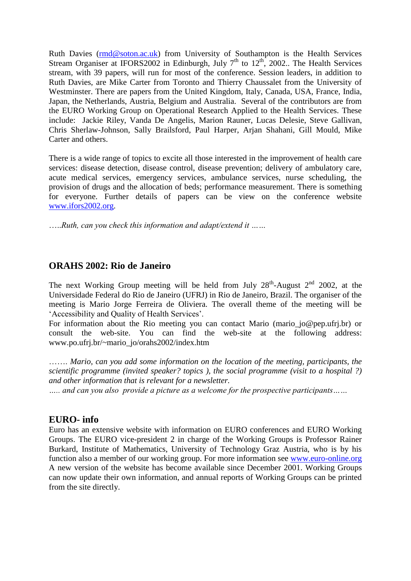Ruth Davies [\(rmd@soton.ac.uk\)](mailto:rmd@soton.ac.uk) from University of Southampton is the Health Services Stream Organiser at IFORS2002 in Edinburgh, July  $7<sup>th</sup>$  to  $12<sup>th</sup>$ , 2002.. The Health Services stream, with 39 papers, will run for most of the conference. Session leaders, in addition to Ruth Davies, are Mike Carter from Toronto and Thierry Chaussalet from the University of Westminster. There are papers from the United Kingdom, Italy, Canada, USA, France, India, Japan, the Netherlands, Austria, Belgium and Australia. Several of the contributors are from the EURO Working Group on Operational Research Applied to the Health Services. These include: Jackie Riley, Vanda De Angelis, Marion Rauner, Lucas Delesie, Steve Gallivan, Chris Sherlaw-Johnson, Sally Brailsford, Paul Harper, Arjan Shahani, Gill Mould, Mike Carter and others.

There is a wide range of topics to excite all those interested in the improvement of health care services: disease detection, disease control, disease prevention; delivery of ambulatory care, acute medical services, emergency services, ambulance services, nurse scheduling, the provision of drugs and the allocation of beds; performance measurement. There is something for everyone. Further details of papers can be view on the conference website [www.ifors2002.org.](http://www.ifors2002.org/)

…..*Ruth, can you check this information and adapt/extend it ……*

## **ORAHS 2002: Rio de Janeiro**

The next Working Group meeting will be held from July  $28<sup>th</sup>$ -August  $2<sup>nd</sup>$  2002, at the Universidade Federal do Rio de Janeiro (UFRJ) in Rio de Janeiro, Brazil. The organiser of the meeting is Mario Jorge Ferreira de Oliviera. The overall theme of the meeting will be 'Accessibility and Quality of Health Services'.

For information about the Rio meeting you can contact Mario (mario\_jo@pep.ufrj.br) or consult the web-site. You can find the web-site at the following address: www.po.ufrj.br/~mario\_jo/orahs2002/index.htm

……. *Mario, can you add some information on the location of the meeting, participants, the scientific programme (invited speaker? topics ), the social programme (visit to a hospital ?) and other information that is relevant for a newsletter.* 

*….. and can you also provide a picture as a welcome for the prospective participants……*

#### **EURO- info**

Euro has an extensive website with information on EURO conferences and EURO Working Groups. The EURO vice-president 2 in charge of the Working Groups is Professor Rainer Burkard, Institute of Mathematics, University of Technology Graz Austria, who is by his function also a member of our working group. For more information see [www.euro-online.org](http://www.euro-online.org/) A new version of the website has become available since December 2001. Working Groups can now update their own information, and annual reports of Working Groups can be printed from the site directly.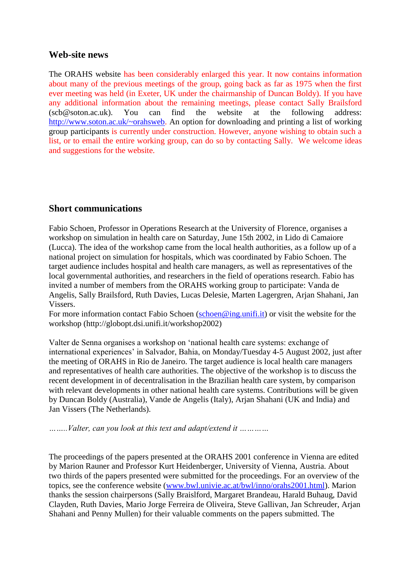#### **Web-site news**

The ORAHS website has been considerably enlarged this year. It now contains information about many of the previous meetings of the group, going back as far as 1975 when the first ever meeting was held (in Exeter, UK under the chairmanship of Duncan Boldy). If you have any additional information about the remaining meetings, please contact Sally Brailsford (scb@soton.ac.uk). You can find the website at the following address: [http://www.soton.ac.uk/~orahsweb.](http://www.soton.ac.uk/~orahsweb) An option for downloading and printing a list of working group participants is currently under construction. However, anyone wishing to obtain such a list, or to email the entire working group, can do so by contacting Sally. We welcome ideas and suggestions for the website.

### **Short communications**

Fabio Schoen, Professor in Operations Research at the University of Florence, organises a workshop on simulation in health care on Saturday, June 15th 2002, in Lido di Camaiore (Lucca). The idea of the workshop came from the local health authorities, as a follow up of a national project on simulation for hospitals, which was coordinated by Fabio Schoen. The target audience includes hospital and health care managers, as well as representatives of the local governmental authorities, and researchers in the field of operations research. Fabio has invited a number of members from the ORAHS working group to participate: Vanda de Angelis, Sally Brailsford, Ruth Davies, Lucas Delesie, Marten Lagergren, Arjan Shahani, Jan Vissers.

For more information contact Fabio Schoen [\(schoen@ing.unifi.it\)](mailto:schoen@ing.unifi.it) or visit the website for the workshop (http://globopt.dsi.unifi.it/workshop2002)

Valter de Senna organises a workshop on 'national health care systems: exchange of international experiences' in Salvador, Bahia, on Monday/Tuesday 4-5 August 2002, just after the meeting of ORAHS in Rio de Janeiro. The target audience is local health care managers and representatives of health care authorities. The objective of the workshop is to discuss the recent development in of decentralisation in the Brazilian health care system, by comparison with relevant developments in other national health care systems. Contributions will be given by Duncan Boldy (Australia), Vande de Angelis (Italy), Arjan Shahani (UK and India) and Jan Vissers (The Netherlands).

*……..Valter, can you look at this text and adapt/extend it …………* 

The proceedings of the papers presented at the ORAHS 2001 conference in Vienna are edited by Marion Rauner and Professor Kurt Heidenberger, University of Vienna, Austria. About two thirds of the papers presented were submitted for the proceedings. For an overview of the topics, see the conference website [\(www.bwl.univie.ac.at/bwl/inno/orahs2001.html\)](http://www.bwl.univie.ac.at/bwl/inno/orahs2001.html). Marion thanks the session chairpersons (Sally Braislford, Margaret Brandeau, Harald Buhaug, David Clayden, Ruth Davies, Mario Jorge Ferreira de Oliveira, Steve Gallivan, Jan Schreuder, Arjan Shahani and Penny Mullen) for their valuable comments on the papers submitted. The